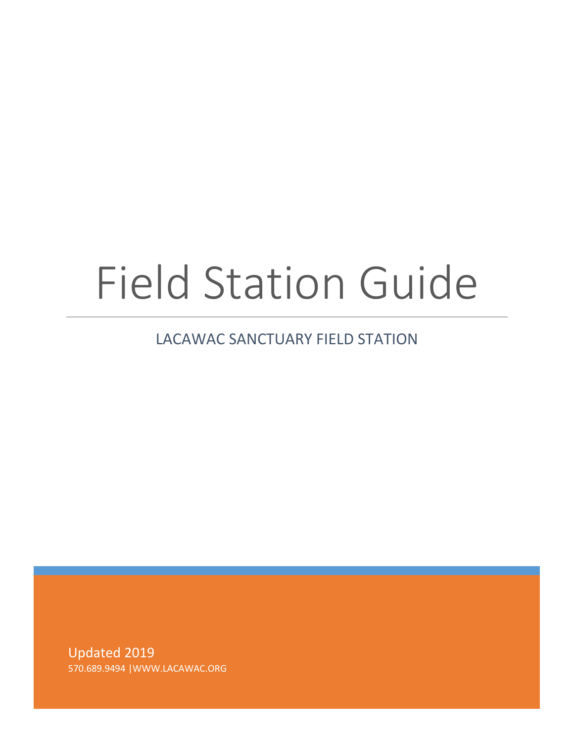# Field Station Guide

# LACAWAC SANCTUARY FIELD STATION

Updated 2019 570.689.9494 |WWW.LACAWAC.ORG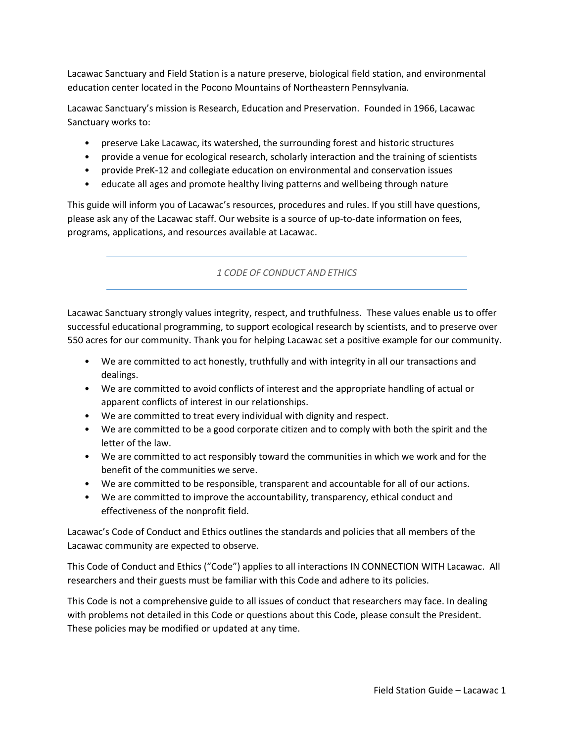Lacawac Sanctuary and Field Station is a nature preserve, biological field station, and environmental education center located in the Pocono Mountains of Northeastern Pennsylvania.

Lacawac Sanctuary's mission is Research, Education and Preservation. Founded in 1966, Lacawac Sanctuary works to:

- preserve Lake Lacawac, its watershed, the surrounding forest and historic structures
- provide a venue for ecological research, scholarly interaction and the training of scientists
- provide PreK-12 and collegiate education on environmental and conservation issues
- educate all ages and promote healthy living patterns and wellbeing through nature

This guide will inform you of Lacawac's resources, procedures and rules. If you still have questions, please ask any of the Lacawac staff. Our website is a source of up-to-date information on fees, programs, applications, and resources available at Lacawac.

# *1 CODE OF CONDUCT AND ETHICS*

Lacawac Sanctuary strongly values integrity, respect, and truthfulness. These values enable us to offer successful educational programming, to support ecological research by scientists, and to preserve over 550 acres for our community. Thank you for helping Lacawac set a positive example for our community.

- We are committed to act honestly, truthfully and with integrity in all our transactions and dealings.
- We are committed to avoid conflicts of interest and the appropriate handling of actual or apparent conflicts of interest in our relationships.
- We are committed to treat every individual with dignity and respect.
- We are committed to be a good corporate citizen and to comply with both the spirit and the letter of the law.
- We are committed to act responsibly toward the communities in which we work and for the benefit of the communities we serve.
- We are committed to be responsible, transparent and accountable for all of our actions.
- We are committed to improve the accountability, transparency, ethical conduct and effectiveness of the nonprofit field.

Lacawac's Code of Conduct and Ethics outlines the standards and policies that all members of the Lacawac community are expected to observe.

This Code of Conduct and Ethics ("Code") applies to all interactions IN CONNECTION WITH Lacawac. All researchers and their guests must be familiar with this Code and adhere to its policies.

This Code is not a comprehensive guide to all issues of conduct that researchers may face. In dealing with problems not detailed in this Code or questions about this Code, please consult the President. These policies may be modified or updated at any time.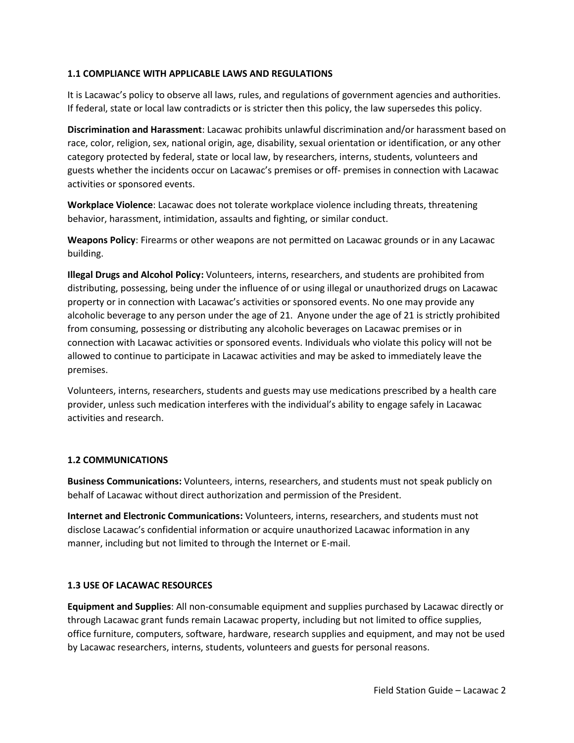#### **1.1 COMPLIANCE WITH APPLICABLE LAWS AND REGULATIONS**

It is Lacawac's policy to observe all laws, rules, and regulations of government agencies and authorities. If federal, state or local law contradicts or is stricter then this policy, the law supersedes this policy.

**Discrimination and Harassment**: Lacawac prohibits unlawful discrimination and/or harassment based on race, color, religion, sex, national origin, age, disability, sexual orientation or identification, or any other category protected by federal, state or local law, by researchers, interns, students, volunteers and guests whether the incidents occur on Lacawac's premises or off- premises in connection with Lacawac activities or sponsored events.

**Workplace Violence**: Lacawac does not tolerate workplace violence including threats, threatening behavior, harassment, intimidation, assaults and fighting, or similar conduct.

**Weapons Policy**: Firearms or other weapons are not permitted on Lacawac grounds or in any Lacawac building.

**Illegal Drugs and Alcohol Policy:** Volunteers, interns, researchers, and students are prohibited from distributing, possessing, being under the influence of or using illegal or unauthorized drugs on Lacawac property or in connection with Lacawac's activities or sponsored events. No one may provide any alcoholic beverage to any person under the age of 21. Anyone under the age of 21 is strictly prohibited from consuming, possessing or distributing any alcoholic beverages on Lacawac premises or in connection with Lacawac activities or sponsored events. Individuals who violate this policy will not be allowed to continue to participate in Lacawac activities and may be asked to immediately leave the premises.

Volunteers, interns, researchers, students and guests may use medications prescribed by a health care provider, unless such medication interferes with the individual's ability to engage safely in Lacawac activities and research.

#### **1.2 COMMUNICATIONS**

**Business Communications:** Volunteers, interns, researchers, and students must not speak publicly on behalf of Lacawac without direct authorization and permission of the President.

**Internet and Electronic Communications:** Volunteers, interns, researchers, and students must not disclose Lacawac's confidential information or acquire unauthorized Lacawac information in any manner, including but not limited to through the Internet or E-mail.

# **1.3 USE OF LACAWAC RESOURCES**

**Equipment and Supplies**: All non-consumable equipment and supplies purchased by Lacawac directly or through Lacawac grant funds remain Lacawac property, including but not limited to office supplies, office furniture, computers, software, hardware, research supplies and equipment, and may not be used by Lacawac researchers, interns, students, volunteers and guests for personal reasons.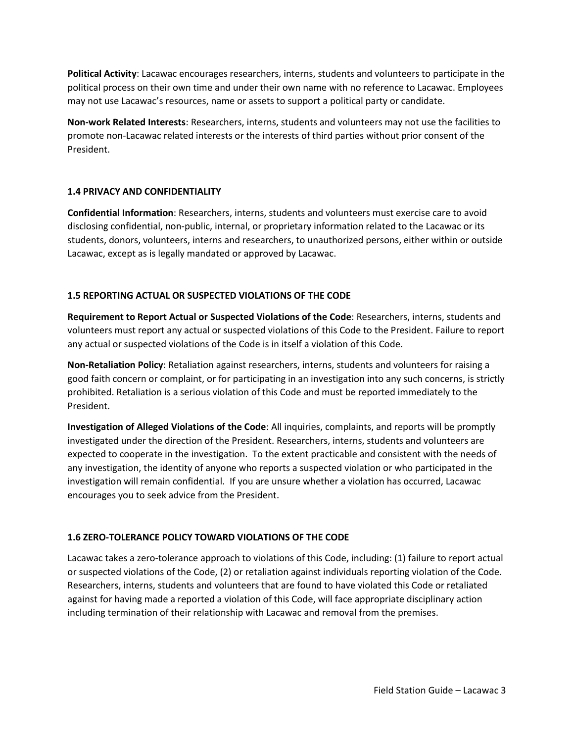**Political Activity**: Lacawac encourages researchers, interns, students and volunteers to participate in the political process on their own time and under their own name with no reference to Lacawac. Employees may not use Lacawac's resources, name or assets to support a political party or candidate.

**Non-work Related Interests**: Researchers, interns, students and volunteers may not use the facilities to promote non-Lacawac related interests or the interests of third parties without prior consent of the President.

## **1.4 PRIVACY AND CONFIDENTIALITY**

**Confidential Information**: Researchers, interns, students and volunteers must exercise care to avoid disclosing confidential, non-public, internal, or proprietary information related to the Lacawac or its students, donors, volunteers, interns and researchers, to unauthorized persons, either within or outside Lacawac, except as is legally mandated or approved by Lacawac.

# **1.5 REPORTING ACTUAL OR SUSPECTED VIOLATIONS OF THE CODE**

**Requirement to Report Actual or Suspected Violations of the Code**: Researchers, interns, students and volunteers must report any actual or suspected violations of this Code to the President. Failure to report any actual or suspected violations of the Code is in itself a violation of this Code.

**Non-Retaliation Policy**: Retaliation against researchers, interns, students and volunteers for raising a good faith concern or complaint, or for participating in an investigation into any such concerns, is strictly prohibited. Retaliation is a serious violation of this Code and must be reported immediately to the President.

**Investigation of Alleged Violations of the Code**: All inquiries, complaints, and reports will be promptly investigated under the direction of the President. Researchers, interns, students and volunteers are expected to cooperate in the investigation. To the extent practicable and consistent with the needs of any investigation, the identity of anyone who reports a suspected violation or who participated in the investigation will remain confidential. If you are unsure whether a violation has occurred, Lacawac encourages you to seek advice from the President.

# **1.6 ZERO-TOLERANCE POLICY TOWARD VIOLATIONS OF THE CODE**

Lacawac takes a zero-tolerance approach to violations of this Code, including: (1) failure to report actual or suspected violations of the Code, (2) or retaliation against individuals reporting violation of the Code. Researchers, interns, students and volunteers that are found to have violated this Code or retaliated against for having made a reported a violation of this Code, will face appropriate disciplinary action including termination of their relationship with Lacawac and removal from the premises.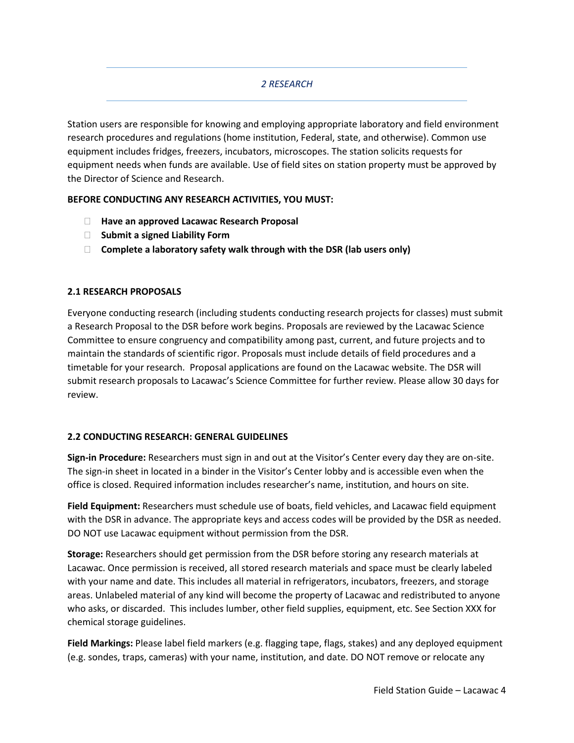# *2 RESEARCH*

Station users are responsible for knowing and employing appropriate laboratory and field environment research procedures and regulations (home institution, Federal, state, and otherwise). Common use equipment includes fridges, freezers, incubators, microscopes. The station solicits requests for equipment needs when funds are available. Use of field sites on station property must be approved by the Director of Science and Research.

#### **BEFORE CONDUCTING ANY RESEARCH ACTIVITIES, YOU MUST:**

- **Have an approved Lacawac Research Proposal**
- **Submit a signed Liability Form**
- **Complete a laboratory safety walk through with the DSR (lab users only)**

## **2.1 RESEARCH PROPOSALS**

Everyone conducting research (including students conducting research projects for classes) must submit a Research Proposal to the DSR before work begins. Proposals are reviewed by the Lacawac Science Committee to ensure congruency and compatibility among past, current, and future projects and to maintain the standards of scientific rigor. Proposals must include details of field procedures and a timetable for your research. Proposal applications are found on the Lacawac website. The DSR will submit research proposals to Lacawac's Science Committee for further review. Please allow 30 days for review.

#### **2.2 CONDUCTING RESEARCH: GENERAL GUIDELINES**

**Sign-in Procedure:** Researchers must sign in and out at the Visitor's Center every day they are on-site. The sign-in sheet in located in a binder in the Visitor's Center lobby and is accessible even when the office is closed. Required information includes researcher's name, institution, and hours on site.

**Field Equipment:** Researchers must schedule use of boats, field vehicles, and Lacawac field equipment with the DSR in advance. The appropriate keys and access codes will be provided by the DSR as needed. DO NOT use Lacawac equipment without permission from the DSR.

**Storage:** Researchers should get permission from the DSR before storing any research materials at Lacawac. Once permission is received, all stored research materials and space must be clearly labeled with your name and date. This includes all material in refrigerators, incubators, freezers, and storage areas. Unlabeled material of any kind will become the property of Lacawac and redistributed to anyone who asks, or discarded. This includes lumber, other field supplies, equipment, etc. See Section XXX for chemical storage guidelines.

**Field Markings:** Please label field markers (e.g. flagging tape, flags, stakes) and any deployed equipment (e.g. sondes, traps, cameras) with your name, institution, and date. DO NOT remove or relocate any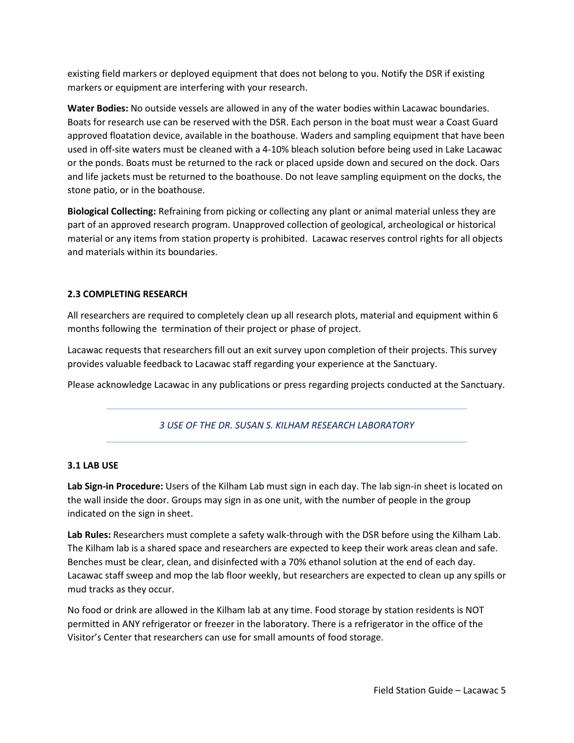existing field markers or deployed equipment that does not belong to you. Notify the DSR if existing markers or equipment are interfering with your research.

**Water Bodies:** No outside vessels are allowed in any of the water bodies within Lacawac boundaries. Boats for research use can be reserved with the DSR. Each person in the boat must wear a Coast Guard approved floatation device, available in the boathouse. Waders and sampling equipment that have been used in off-site waters must be cleaned with a 4-10% bleach solution before being used in Lake Lacawac or the ponds. Boats must be returned to the rack or placed upside down and secured on the dock. Oars and life jackets must be returned to the boathouse. Do not leave sampling equipment on the docks, the stone patio, or in the boathouse.

**Biological Collecting:** Refraining from picking or collecting any plant or animal material unless they are part of an approved research program. Unapproved collection of geological, archeological or historical material or any items from station property is prohibited. Lacawac reserves control rights for all objects and materials within its boundaries.

#### **2.3 COMPLETING RESEARCH**

All researchers are required to completely clean up all research plots, material and equipment within 6 months following the termination of their project or phase of project.

Lacawac requests that researchers fill out an exit survey upon completion of their projects. This survey provides valuable feedback to Lacawac staff regarding your experience at the Sanctuary.

Please acknowledge Lacawac in any publications or press regarding projects conducted at the Sanctuary.

#### *3 USE OF THE DR. SUSAN S. KILHAM RESEARCH LABORATORY*

#### **3.1 LAB USE**

**Lab Sign-in Procedure:** Users of the Kilham Lab must sign in each day. The lab sign-in sheet is located on the wall inside the door. Groups may sign in as one unit, with the number of people in the group indicated on the sign in sheet.

**Lab Rules:** Researchers must complete a safety walk-through with the DSR before using the Kilham Lab. The Kilham lab is a shared space and researchers are expected to keep their work areas clean and safe. Benches must be clear, clean, and disinfected with a 70% ethanol solution at the end of each day. Lacawac staff sweep and mop the lab floor weekly, but researchers are expected to clean up any spills or mud tracks as they occur.

No food or drink are allowed in the Kilham lab at any time. Food storage by station residents is NOT permitted in ANY refrigerator or freezer in the laboratory. There is a refrigerator in the office of the Visitor's Center that researchers can use for small amounts of food storage.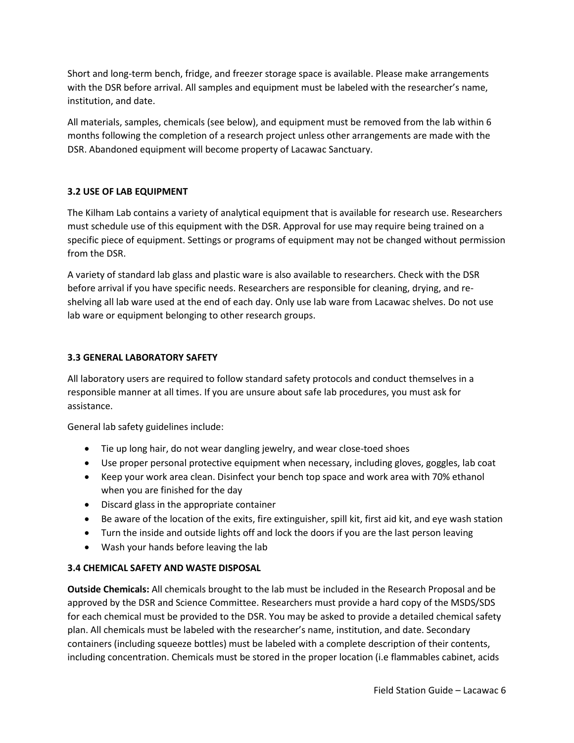Short and long-term bench, fridge, and freezer storage space is available. Please make arrangements with the DSR before arrival. All samples and equipment must be labeled with the researcher's name, institution, and date.

All materials, samples, chemicals (see below), and equipment must be removed from the lab within 6 months following the completion of a research project unless other arrangements are made with the DSR. Abandoned equipment will become property of Lacawac Sanctuary.

# **3.2 USE OF LAB EQUIPMENT**

The Kilham Lab contains a variety of analytical equipment that is available for research use. Researchers must schedule use of this equipment with the DSR. Approval for use may require being trained on a specific piece of equipment. Settings or programs of equipment may not be changed without permission from the DSR.

A variety of standard lab glass and plastic ware is also available to researchers. Check with the DSR before arrival if you have specific needs. Researchers are responsible for cleaning, drying, and reshelving all lab ware used at the end of each day. Only use lab ware from Lacawac shelves. Do not use lab ware or equipment belonging to other research groups.

# **3.3 GENERAL LABORATORY SAFETY**

All laboratory users are required to follow standard safety protocols and conduct themselves in a responsible manner at all times. If you are unsure about safe lab procedures, you must ask for assistance.

General lab safety guidelines include:

- Tie up long hair, do not wear dangling jewelry, and wear close-toed shoes
- Use proper personal protective equipment when necessary, including gloves, goggles, lab coat
- Keep your work area clean. Disinfect your bench top space and work area with 70% ethanol when you are finished for the day
- Discard glass in the appropriate container
- Be aware of the location of the exits, fire extinguisher, spill kit, first aid kit, and eye wash station
- Turn the inside and outside lights off and lock the doors if you are the last person leaving
- Wash your hands before leaving the lab

# **3.4 CHEMICAL SAFETY AND WASTE DISPOSAL**

**Outside Chemicals:** All chemicals brought to the lab must be included in the Research Proposal and be approved by the DSR and Science Committee. Researchers must provide a hard copy of the MSDS/SDS for each chemical must be provided to the DSR. You may be asked to provide a detailed chemical safety plan. All chemicals must be labeled with the researcher's name, institution, and date. Secondary containers (including squeeze bottles) must be labeled with a complete description of their contents, including concentration. Chemicals must be stored in the proper location (i.e flammables cabinet, acids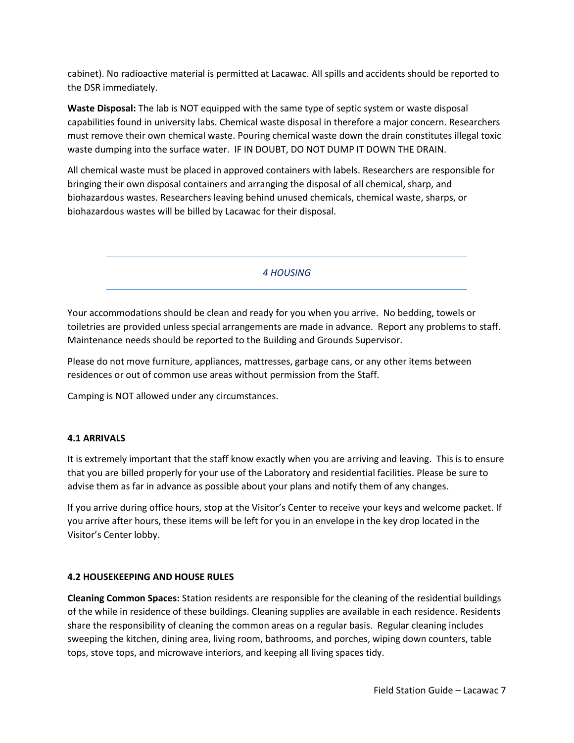cabinet). No radioactive material is permitted at Lacawac. All spills and accidents should be reported to the DSR immediately.

**Waste Disposal:** The lab is NOT equipped with the same type of septic system or waste disposal capabilities found in university labs. Chemical waste disposal in therefore a major concern. Researchers must remove their own chemical waste. Pouring chemical waste down the drain constitutes illegal toxic waste dumping into the surface water. IF IN DOUBT, DO NOT DUMP IT DOWN THE DRAIN.

All chemical waste must be placed in approved containers with labels. Researchers are responsible for bringing their own disposal containers and arranging the disposal of all chemical, sharp, and biohazardous wastes. Researchers leaving behind unused chemicals, chemical waste, sharps, or biohazardous wastes will be billed by Lacawac for their disposal.

*4 HOUSING* 

Your accommodations should be clean and ready for you when you arrive. No bedding, towels or toiletries are provided unless special arrangements are made in advance. Report any problems to staff. Maintenance needs should be reported to the Building and Grounds Supervisor.

Please do not move furniture, appliances, mattresses, garbage cans, or any other items between residences or out of common use areas without permission from the Staff.

Camping is NOT allowed under any circumstances.

#### **4.1 ARRIVALS**

It is extremely important that the staff know exactly when you are arriving and leaving. This is to ensure that you are billed properly for your use of the Laboratory and residential facilities. Please be sure to advise them as far in advance as possible about your plans and notify them of any changes.

If you arrive during office hours, stop at the Visitor's Center to receive your keys and welcome packet. If you arrive after hours, these items will be left for you in an envelope in the key drop located in the Visitor's Center lobby.

#### **4.2 HOUSEKEEPING AND HOUSE RULES**

**Cleaning Common Spaces:** Station residents are responsible for the cleaning of the residential buildings of the while in residence of these buildings. Cleaning supplies are available in each residence. Residents share the responsibility of cleaning the common areas on a regular basis. Regular cleaning includes sweeping the kitchen, dining area, living room, bathrooms, and porches, wiping down counters, table tops, stove tops, and microwave interiors, and keeping all living spaces tidy.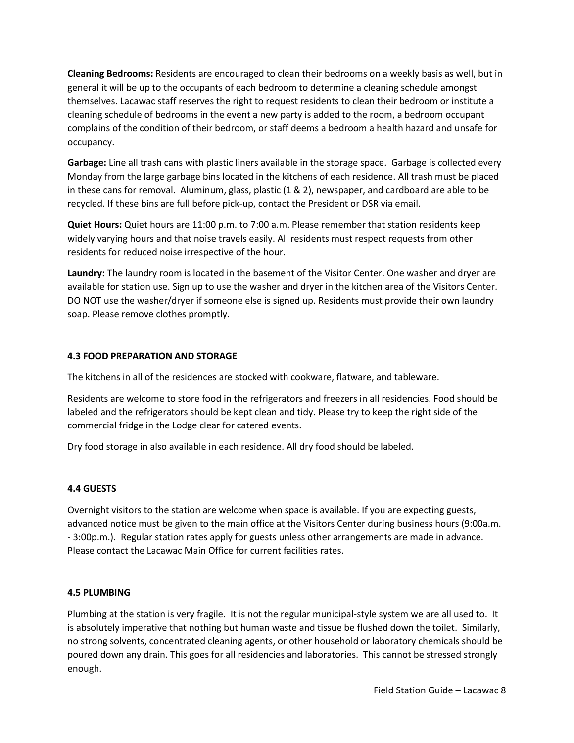**Cleaning Bedrooms:** Residents are encouraged to clean their bedrooms on a weekly basis as well, but in general it will be up to the occupants of each bedroom to determine a cleaning schedule amongst themselves. Lacawac staff reserves the right to request residents to clean their bedroom or institute a cleaning schedule of bedrooms in the event a new party is added to the room, a bedroom occupant complains of the condition of their bedroom, or staff deems a bedroom a health hazard and unsafe for occupancy.

**Garbage:** Line all trash cans with plastic liners available in the storage space. Garbage is collected every Monday from the large garbage bins located in the kitchens of each residence. All trash must be placed in these cans for removal. Aluminum, glass, plastic (1 & 2), newspaper, and cardboard are able to be recycled. If these bins are full before pick-up, contact the President or DSR via email.

**Quiet Hours:** Quiet hours are 11:00 p.m. to 7:00 a.m. Please remember that station residents keep widely varying hours and that noise travels easily. All residents must respect requests from other residents for reduced noise irrespective of the hour.

**Laundry:** The laundry room is located in the basement of the Visitor Center. One washer and dryer are available for station use. Sign up to use the washer and dryer in the kitchen area of the Visitors Center. DO NOT use the washer/dryer if someone else is signed up. Residents must provide their own laundry soap. Please remove clothes promptly.

## **4.3 FOOD PREPARATION AND STORAGE**

The kitchens in all of the residences are stocked with cookware, flatware, and tableware.

Residents are welcome to store food in the refrigerators and freezers in all residencies. Food should be labeled and the refrigerators should be kept clean and tidy. Please try to keep the right side of the commercial fridge in the Lodge clear for catered events.

Dry food storage in also available in each residence. All dry food should be labeled.

#### **4.4 GUESTS**

Overnight visitors to the station are welcome when space is available. If you are expecting guests, advanced notice must be given to the main office at the Visitors Center during business hours (9:00a.m. - 3:00p.m.). Regular station rates apply for guests unless other arrangements are made in advance. Please contact the Lacawac Main Office for current facilities rates.

#### **4.5 PLUMBING**

Plumbing at the station is very fragile. It is not the regular municipal-style system we are all used to. It is absolutely imperative that nothing but human waste and tissue be flushed down the toilet. Similarly, no strong solvents, concentrated cleaning agents, or other household or laboratory chemicals should be poured down any drain. This goes for all residencies and laboratories. This cannot be stressed strongly enough.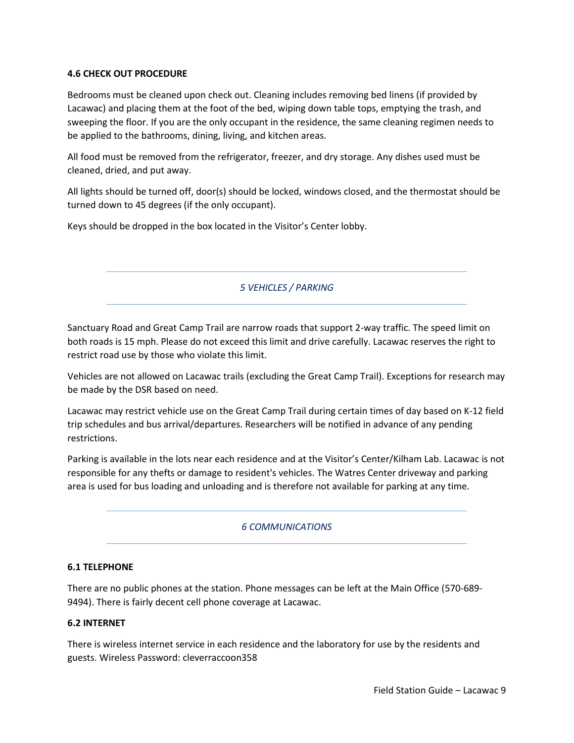#### **4.6 CHECK OUT PROCEDURE**

Bedrooms must be cleaned upon check out. Cleaning includes removing bed linens (if provided by Lacawac) and placing them at the foot of the bed, wiping down table tops, emptying the trash, and sweeping the floor. If you are the only occupant in the residence, the same cleaning regimen needs to be applied to the bathrooms, dining, living, and kitchen areas.

All food must be removed from the refrigerator, freezer, and dry storage. Any dishes used must be cleaned, dried, and put away.

All lights should be turned off, door(s) should be locked, windows closed, and the thermostat should be turned down to 45 degrees (if the only occupant).

Keys should be dropped in the box located in the Visitor's Center lobby.

*5 VEHICLES / PARKING* 

Sanctuary Road and Great Camp Trail are narrow roads that support 2-way traffic. The speed limit on both roads is 15 mph. Please do not exceed this limit and drive carefully. Lacawac reserves the right to restrict road use by those who violate this limit.

Vehicles are not allowed on Lacawac trails (excluding the Great Camp Trail). Exceptions for research may be made by the DSR based on need.

Lacawac may restrict vehicle use on the Great Camp Trail during certain times of day based on K-12 field trip schedules and bus arrival/departures. Researchers will be notified in advance of any pending restrictions.

Parking is available in the lots near each residence and at the Visitor's Center/Kilham Lab. Lacawac is not responsible for any thefts or damage to resident's vehicles. The Watres Center driveway and parking area is used for bus loading and unloading and is therefore not available for parking at any time.

#### *6 COMMUNICATIONS*

#### **6.1 TELEPHONE**

There are no public phones at the station. Phone messages can be left at the Main Office (570-689- 9494). There is fairly decent cell phone coverage at Lacawac.

#### **6.2 INTERNET**

There is wireless internet service in each residence and the laboratory for use by the residents and guests. Wireless Password: cleverraccoon358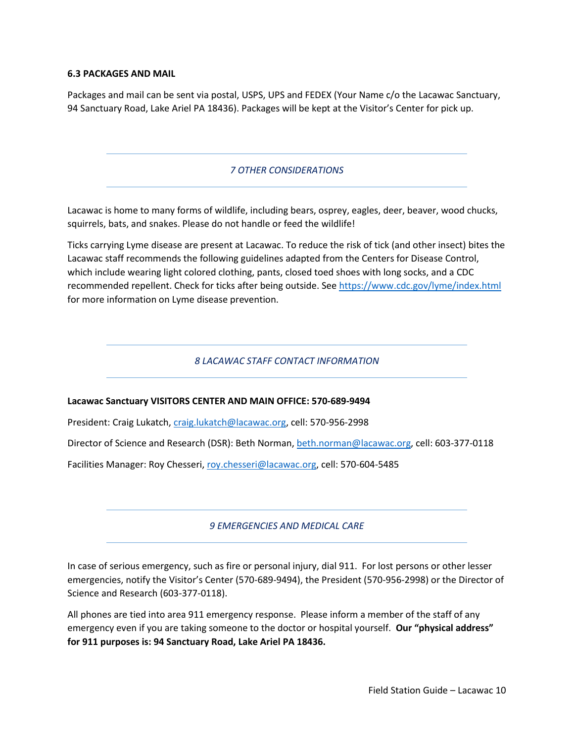#### **6.3 PACKAGES AND MAIL**

Packages and mail can be sent via postal, USPS, UPS and FEDEX (Your Name c/o the Lacawac Sanctuary, 94 Sanctuary Road, Lake Ariel PA 18436). Packages will be kept at the Visitor's Center for pick up.

# *7 OTHER CONSIDERATIONS*

Lacawac is home to many forms of wildlife, including bears, osprey, eagles, deer, beaver, wood chucks, squirrels, bats, and snakes. Please do not handle or feed the wildlife!

Ticks carrying Lyme disease are present at Lacawac. To reduce the risk of tick (and other insect) bites the Lacawac staff recommends the following guidelines adapted from the Centers for Disease Control, which include wearing light colored clothing, pants, closed toed shoes with long socks, and a CDC recommended repellent. Check for ticks after being outside. Se[e https://www.cdc.gov/lyme/index.html](https://www.cdc.gov/lyme/index.html) for more information on Lyme disease prevention.

#### *8 LACAWAC STAFF CONTACT INFORMATION*

#### **Lacawac Sanctuary VISITORS CENTER AND MAIN OFFICE: 570-689-9494**

President: Craig Lukatch, [craig.lukatch@lacawac.org,](mailto:craig.lukatch@lacawac.org) cell: 570-956-2998

Director of Science and Research (DSR): Beth Norman[, beth.norman@lacawac.org,](mailto:beth.norman@lacawac.org) cell: 603-377-0118

Facilities Manager: Roy Chesseri[, roy.chesseri@lacawac.org,](mailto:roy.chesseri@lacawac.org) cell: 570-604-5485

#### *9 EMERGENCIES AND MEDICAL CARE*

In case of serious emergency, such as fire or personal injury, dial 911. For lost persons or other lesser emergencies, notify the Visitor's Center (570-689-9494), the President (570-956-2998) or the Director of Science and Research (603-377-0118).

All phones are tied into area 911 emergency response. Please inform a member of the staff of any emergency even if you are taking someone to the doctor or hospital yourself. **Our "physical address" for 911 purposes is: 94 Sanctuary Road, Lake Ariel PA 18436.**